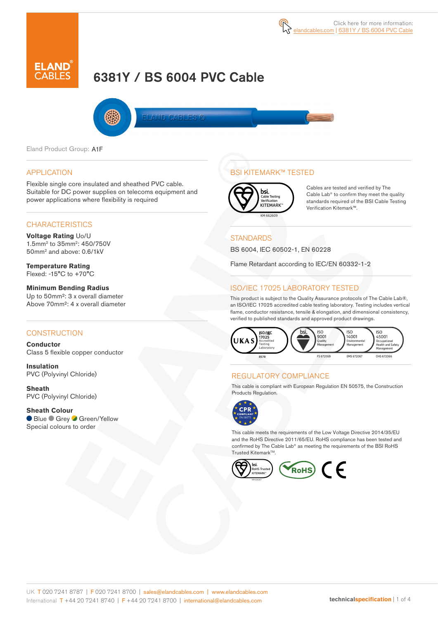# 6381Y / BS 6004 PVC Cable

**LAND CABLES** 

Eland Product Group: A1F

#### APPLICATION

Flexible single core insulated and sheathed PVC cable. Suitable for DC power supplies on telecoms equipment and power applications where flexibility is required

#### **CHARACTERISTICS**

**Voltage Rating** Uo/U 1.5mm2 to 35mm2: 450/750V 50mm2 and above: 0.6/1kV

**Temperature Rating** Flexed: -15°C to +70°C

**Minimum Bending Radius**  Up to 50mm²: 3 x overall diameter Above 70mm²: 4 x overall diameter

#### **CONSTRUCTION**

**Conductor** Class 5 flexible copper conductor

**Insulation** PVC (Polyvinyl Chloride)

**Sheath** PVC (Polyvinyl Chloride)

**Sheath Colour** ● Blue ● Grey ● Green/Yellow Special colours to order

# BSI KITEMARK™ TESTED



Cables are tested and verified by The Cable Lab<sup>®</sup> to confirm they meet the quality standards required of the BSI Cable Testing Verification Kitemark™.

#### **STANDARDS**

BS 6004, IEC 60502-1, EN 60228

Flame Retardant according to IEC/EN 60332-1-2

### ISO/IEC 17025 LABORATORY TESTED

This product is subject to the Quality Assurance protocols of The Cable Lab®, an ISO/IEC 17025 accredited cable testing laboratory. Testing includes vertical flame, conductor resistance, tensile & elongation, and dimensional consistency, verified to published standards and approved product drawings.



#### REGULATORY COMPLIANCE

This cable is compliant with European Regulation EN 50575, the Construction Products Regulation.



This cable meets the requirements of the Low Voltage Directive 2014/35/EU and the RoHS Directive 2011/65/EU. RoHS compliance has been tested and confirmed by The Cable Lab® as meeting the requirements of the BSI RoHS Trusted Kitemark™.

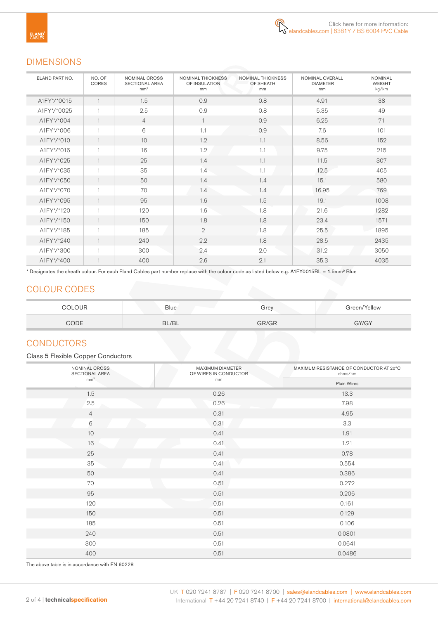# DIMENSIONS

| ELAND PART NO. | NO. OF<br>CORES | <b>NOMINAL CROSS</b><br><b>SECTIONAL AREA</b><br>mm <sup>2</sup> | <b>NOMINAL THICKNESS</b><br>OF INSULATION<br>mm | NOMINAL THICKNESS<br>OF SHEATH<br>mm | NOMINAL OVERALL<br><b>DIAMETER</b><br>mm | <b>NOMINAL</b><br><b>WEIGHT</b><br>kg/km |
|----------------|-----------------|------------------------------------------------------------------|-------------------------------------------------|--------------------------------------|------------------------------------------|------------------------------------------|
| A1FY*/*0015    | $\mathbf{1}$    | 1.5                                                              | 0.9                                             | 0.8                                  | 4.91                                     | 38                                       |
| A1FY*/*0025    | $\mathbf{1}$    | 2.5                                                              | 0.9                                             | 0.8                                  | 5.35                                     | 49                                       |
| A1FY*/*004     | $\mathbf{1}$    | $\overline{4}$                                                   | $\mathbf{1}$                                    | 0.9                                  | 6.25                                     | 71                                       |
| A1FY*/*006     | 1               | 6                                                                | 1.1                                             | 0.9                                  | 7.6                                      | 101                                      |
| A1FY*/*010     |                 | 10                                                               | 1.2                                             | 1.1                                  | 8.56                                     | 152                                      |
| A1FY*/*016     | $\mathbf{1}$    | 16                                                               | 1.2                                             | 1.1                                  | 9.75                                     | 215                                      |
| A1FY*/*025     |                 | 25                                                               | 1.4                                             | 1.1                                  | 11.5                                     | 307                                      |
| A1FY*/*035     |                 | 35                                                               | 1.4                                             | 1.1                                  | 12.5                                     | 405                                      |
| A1FY*/*050     | $\mathbf{1}$    | 50                                                               | 1.4                                             | 1.4                                  | 15.1                                     | 580                                      |
| A1FY*/*070     | 1               | 70                                                               | 1.4                                             | 1.4                                  | 16.95                                    | 769                                      |
| A1FY*/*095     | $\mathbf{1}$    | 95                                                               | 1.6                                             | 1.5                                  | 19.1                                     | 1008                                     |
| A1FY*/*120     | $\mathbf{1}$    | 120                                                              | 1.6                                             | 1.8                                  | 21.6                                     | 1282                                     |
| A1FY*/*150     | $\mathbf{1}$    | 150                                                              | 1.8                                             | 1.8                                  | 23.4                                     | 1571                                     |
| A1FY*/*185     | 1               | 185                                                              | $\mathbf{2}$                                    | 1.8                                  | 25.5                                     | 1895                                     |
| A1FY*/*240     |                 | 240                                                              | 2.2                                             | 1.8                                  | 28.5                                     | 2435                                     |
| A1FY*/*300     |                 | 300                                                              | 2.4                                             | 2.0                                  | 31.2                                     | 3050                                     |
| A1FY*/*400     |                 | 400                                                              | 2.6                                             | 2.1                                  | 35.3                                     | 4035                                     |

\* Designates the sheath colour. For each Eland Cables part number replace with the colour code as listed below e.g. A1FY0015BL = 1.5mm² Blue

# COLOUR CODES

| COLOUR | <b>Blue</b> | Grey  | Green/Yellow |
|--------|-------------|-------|--------------|
| CODE   | BL/BL       | GR/GR | GY/GY        |

# **CONDUCTORS**

#### Class 5 Flexible Copper Conductors

| NOMINAL CROSS<br>SECTIONAL AREA | MAXIMUM DIAMETER<br>OF WIRES IN CONDUCTOR | MAXIMUM RESISTANCE OF CONDUCTOR AT 20°C<br>ohms/km |
|---------------------------------|-------------------------------------------|----------------------------------------------------|
| mm <sup>2</sup>                 | mm                                        | Plain Wires                                        |
| 1.5                             | 0.26                                      | 13.3                                               |
| 2.5                             | 0.26                                      | 7.98                                               |
| $\overline{4}$                  | 0.31                                      | 4.95                                               |
| $\,6\,$                         | 0.31                                      | 3.3                                                |
| 10                              | 0.41                                      | 1.91                                               |
| 16                              | <b>STATISTICS</b><br>0.41                 | 1.21                                               |
| 25                              | 0.41                                      | 0.78                                               |
| 35                              | 0.41                                      | 0.554                                              |
| 50                              | 0.41                                      | 0.386                                              |
| 70                              | 0.51                                      | 0.272                                              |
| 95                              | 0.51                                      | 0.206                                              |
| 120                             | 0.51                                      | 0.161                                              |
| 150                             | 0.51                                      | 0.129                                              |
| 185                             | 0.51                                      | 0.106                                              |
| 240                             | 0.51                                      | 0.0801                                             |
| 300                             | 0.51                                      | 0.0641                                             |
| 400                             | 0.51                                      | 0.0486                                             |

The above table is in accordance with EN 60228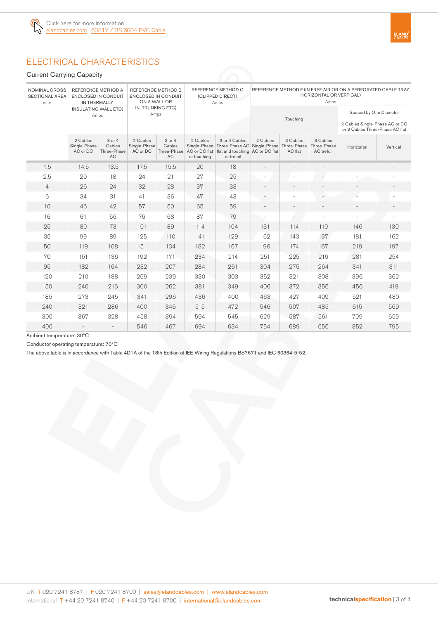

# ELECTRICAL CHARACTERISTICS

Current Carrying Capacity

| NOMINAL CROSS<br>REFERENCE METHOD A<br><b>SECTIONAL AREA</b><br><b>ENCLOSED IN CONDUIT</b><br>mm <sup>2</sup><br>IN THERMALLY |                                      | REFERENCE METHOD B<br><b>ENCLOSED IN CONDUIT</b><br>ON A WALL OR |                                      |                                              | REFERENCE METHOD C<br>(CLIPPED DIRECT)<br>Amps | REFERENCE METHOD F (IN FREE AIR OR ON A PERFORATED CABLE TRAY<br>HORIZONTAL OR VERTICAL)<br>Amps                                         |          |                     |                                       |                                                                   |          |  |  |  |
|-------------------------------------------------------------------------------------------------------------------------------|--------------------------------------|------------------------------------------------------------------|--------------------------------------|----------------------------------------------|------------------------------------------------|------------------------------------------------------------------------------------------------------------------------------------------|----------|---------------------|---------------------------------------|-------------------------------------------------------------------|----------|--|--|--|
|                                                                                                                               | <b>INSULATING WALL ETC)</b><br>Amps  |                                                                  | IN TRUNKING ETC)<br>Amps             |                                              |                                                |                                                                                                                                          |          |                     |                                       | Spaced by One Diameter                                            |          |  |  |  |
|                                                                                                                               |                                      |                                                                  |                                      |                                              |                                                |                                                                                                                                          |          | Touching            |                                       | 2 Cables Single-Phase AC or DC<br>or 3 Cables Three-Phase AC flat |          |  |  |  |
|                                                                                                                               | 2 Cables<br>Single-Phase<br>AC or DC | 3 or 4<br>Cables<br>Three-Phase<br><b>AC</b>                     | 2 Cables<br>Single-Phase<br>AC or DC | 3 or 4<br>Cables<br>Three-Phase<br><b>AC</b> | 2 Cables<br>or touching                        | 3 or 4 Cables<br>Single-Phase Three-Phase AC Single-Phase Three-Phase<br>AC or DC flat   flat and touching   AC or DC flat<br>or trefoil | 2 Cables | 3 Cables<br>AC flat | 3 Cables<br>Three-Phase<br>AC trefoil | Horizontal                                                        | Vertical |  |  |  |
| 1.5                                                                                                                           | 14.5                                 | 13.5                                                             | 17.5                                 | 15.5                                         | 20                                             | 18                                                                                                                                       |          | ٠                   |                                       | $\overline{a}$                                                    |          |  |  |  |
| 2.5                                                                                                                           | 20                                   | 18                                                               | 24                                   | 21                                           | 27<br>25                                       |                                                                                                                                          |          |                     | $\sim$                                |                                                                   |          |  |  |  |
| $\overline{4}$                                                                                                                | 26                                   | 24                                                               | 32                                   | 28                                           | 37                                             | 33                                                                                                                                       |          |                     | $\overline{\phantom{a}}$              |                                                                   |          |  |  |  |
| 6                                                                                                                             | 34                                   | 31                                                               | 41                                   | 36                                           | 47<br>43                                       |                                                                                                                                          |          |                     |                                       |                                                                   |          |  |  |  |
| 10                                                                                                                            | 46                                   | 42                                                               | 57                                   | 50                                           | 65<br>59                                       |                                                                                                                                          |          |                     |                                       |                                                                   |          |  |  |  |
| 16                                                                                                                            | 61                                   | 56                                                               | 76                                   | 68                                           | 87<br>79                                       |                                                                                                                                          | ٠        | ٠                   |                                       |                                                                   |          |  |  |  |
| 25                                                                                                                            | 80                                   | 73                                                               | 101                                  | 89                                           | 114<br>104                                     |                                                                                                                                          | 131      | 114                 | 110                                   | 146                                                               | 130      |  |  |  |
| 35                                                                                                                            | 99                                   | 89                                                               | 125                                  | 110                                          | 129<br>141                                     |                                                                                                                                          | 162      | 143                 | 137                                   | 181                                                               | 162      |  |  |  |
| 50                                                                                                                            | 119                                  | 108                                                              | 151                                  | 134                                          | 182                                            | 167                                                                                                                                      | 196      | 174                 | 167                                   | 219                                                               | 197      |  |  |  |
| 70                                                                                                                            | 151                                  | 136                                                              | 192                                  | 171                                          | 234                                            | 214                                                                                                                                      | 251      | 225                 | 216                                   | 281                                                               | 254      |  |  |  |
| 95                                                                                                                            | 182                                  | 164                                                              | 232                                  | 207                                          | 284                                            | 261                                                                                                                                      | 304      | 275<br>264          |                                       | 341                                                               | 311      |  |  |  |
| 120                                                                                                                           | 210                                  | 188                                                              | 269                                  | 239                                          | 330                                            | 303                                                                                                                                      | 352      | 308<br>321          |                                       | 396                                                               | 362      |  |  |  |
| 150                                                                                                                           | 240                                  | 216                                                              | 300                                  | 262                                          | 381                                            | 349                                                                                                                                      | 406      | 372                 | 356                                   | 456                                                               | 419      |  |  |  |
| 185                                                                                                                           | 273                                  | 245                                                              | 341                                  | 296                                          | 436                                            | 400                                                                                                                                      | 463      | 427                 | 409                                   | 521                                                               | 480      |  |  |  |
| 240                                                                                                                           | 321                                  | 286                                                              | 400                                  | 346                                          | 515                                            | 472                                                                                                                                      | 546      | 507                 | 485                                   | 615                                                               | 569      |  |  |  |
| 300                                                                                                                           | 367                                  | 328                                                              | 458                                  | 394                                          | 594                                            | 545                                                                                                                                      | 629      | 587                 | 561                                   | 709                                                               | 659      |  |  |  |
| 400                                                                                                                           |                                      |                                                                  | 546                                  | 467                                          | 694<br>634                                     |                                                                                                                                          | 754      | 689                 | 656                                   | 852                                                               | 795      |  |  |  |

Ambient temperature: 30ºC

Conductor operating temperature: 70ºC

The above table is in accordance with Table 4D1A of the 18th Edition of IEE Wiring Regulations BS7671 and IEC 60364-5-52.